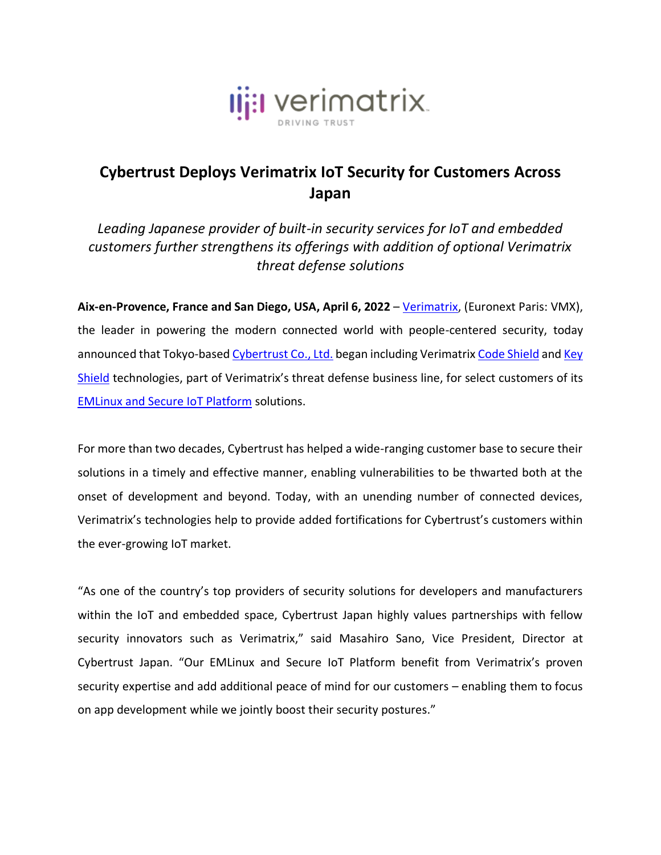

## **Cybertrust Deploys Verimatrix IoT Security for Customers Across Japan**

*Leading Japanese provider of built-in security services for IoT and embedded customers further strengthens its offerings with addition of optional Verimatrix threat defense solutions*

**Aix-en-Provence, France and San Diego, USA, April 6, 2022** – [Verimatrix,](http://www.verimatrix.com/) (Euronext Paris: VMX), the leader in powering the modern connected world with people-centered security, today announced that Tokyo-base[d Cybertrust Co., Ltd.](https://www.cybertrust.co.jp/) began including Verimatrix [Code Shield](https://www.verimatrix.com/products/code-protection/) and Key [Shield](https://www.verimatrix.com/products/whitebox/) technologies, part of Verimatrix's threat defense business line, for select customers of its [EMLinux and Secure IoT Platform](https://www.cybertrust.co.jp/iot/empls.html) solutions.

For more than two decades, Cybertrust has helped a wide-ranging customer base to secure their solutions in a timely and effective manner, enabling vulnerabilities to be thwarted both at the onset of development and beyond. Today, with an unending number of connected devices, Verimatrix's technologies help to provide added fortifications for Cybertrust's customers within the ever-growing IoT market.

"As one of the country's top providers of security solutions for developers and manufacturers within the IoT and embedded space, Cybertrust Japan highly values partnerships with fellow security innovators such as Verimatrix," said Masahiro Sano, Vice President, Director at Cybertrust Japan. "Our EMLinux and Secure IoT Platform benefit from Verimatrix's proven security expertise and add additional peace of mind for our customers – enabling them to focus on app development while we jointly boost their security postures."